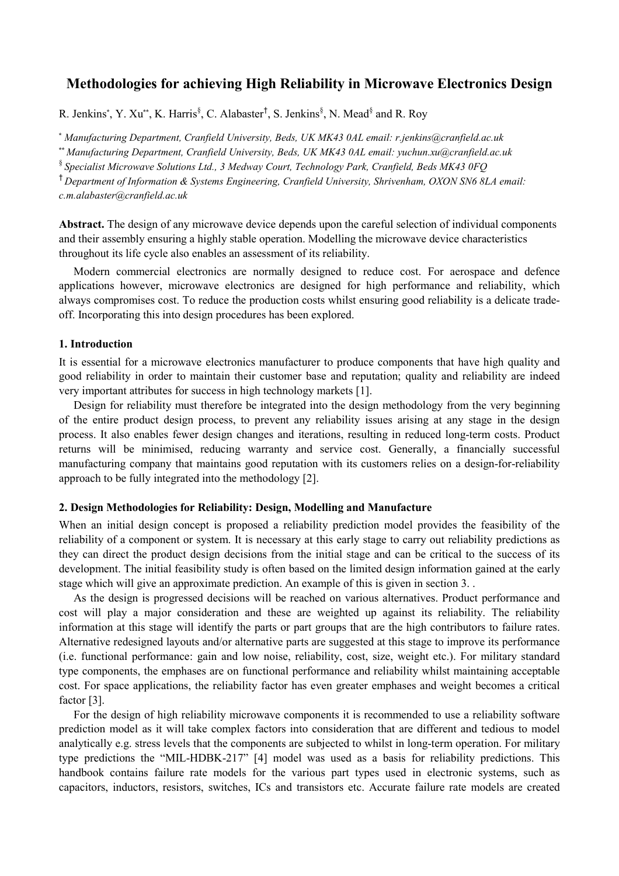# **Methodologies for achieving High Reliability in Microwave Electronics Design**

R. Jenkins\*, Y. Xu\*\*, K. Harris<sup>§</sup>, C. Alabaster<sup>†</sup>, S. Jenkins<sup>§</sup>, N. Mead<sup>§</sup> and R. Roy

\* *Manufacturing Department, Cranfield University, Beds, UK MK43 0AL email: r.jenkins@cranfield.ac.uk*

\*\* *Manufacturing Department, Cranfield University, Beds, UK MK43 0AL email: yuchun.xu@cranfield.ac.uk*

§ *Specialist Microwave Solutions Ltd., 3 Medway Court, Technology Park, Cranfield, Beds MK43 0FQ*

† *Department of Information & Systems Engineering, Cranfield University, Shrivenham, OXON SN6 8LA email: c.m.alabaster@cranfield.ac.uk*

**Abstract.** The design of any microwave device depends upon the careful selection of individual components and their assembly ensuring a highly stable operation. Modelling the microwave device characteristics throughout its life cycle also enables an assessment of its reliability.

Modern commercial electronics are normally designed to reduce cost. For aerospace and defence applications however, microwave electronics are designed for high performance and reliability, which always compromises cost. To reduce the production costs whilst ensuring good reliability is a delicate tradeoff. Incorporating this into design procedures has been explored.

#### **1. Introduction**

It is essential for a microwave electronics manufacturer to produce components that have high quality and good reliability in order to maintain their customer base and reputation; quality and reliability are indeed very important attributes for success in high technology markets [1].

Design for reliability must therefore be integrated into the design methodology from the very beginning of the entire product design process, to prevent any reliability issues arising at any stage in the design process. It also enables fewer design changes and iterations, resulting in reduced long-term costs. Product returns will be minimised, reducing warranty and service cost. Generally, a financially successful manufacturing company that maintains good reputation with its customers relies on a design-for-reliability approach to be fully integrated into the methodology [2].

#### **2. Design Methodologies for Reliability: Design, Modelling and Manufacture**

When an initial design concept is proposed a reliability prediction model provides the feasibility of the reliability of a component or system. It is necessary at this early stage to carry out reliability predictions as they can direct the product design decisions from the initial stage and can be critical to the success of its development. The initial feasibility study is often based on the limited design information gained at the early stage which will give an approximate prediction. An example of this is given in section 3. .

As the design is progressed decisions will be reached on various alternatives. Product performance and cost will play a major consideration and these are weighted up against its reliability. The reliability information at this stage will identify the parts or part groups that are the high contributors to failure rates. Alternative redesigned layouts and/or alternative parts are suggested at this stage to improve its performance (i.e. functional performance: gain and low noise, reliability, cost, size, weight etc.). For military standard type components, the emphases are on functional performance and reliability whilst maintaining acceptable cost. For space applications, the reliability factor has even greater emphases and weight becomes a critical factor [3].

For the design of high reliability microwave components it is recommended to use a reliability software prediction model as it will take complex factors into consideration that are different and tedious to model analytically e.g. stress levels that the components are subjected to whilst in long-term operation. For military type predictions the "MIL-HDBK-217" [4] model was used as a basis for reliability predictions. This handbook contains failure rate models for the various part types used in electronic systems, such as capacitors, inductors, resistors, switches, ICs and transistors etc. Accurate failure rate models are created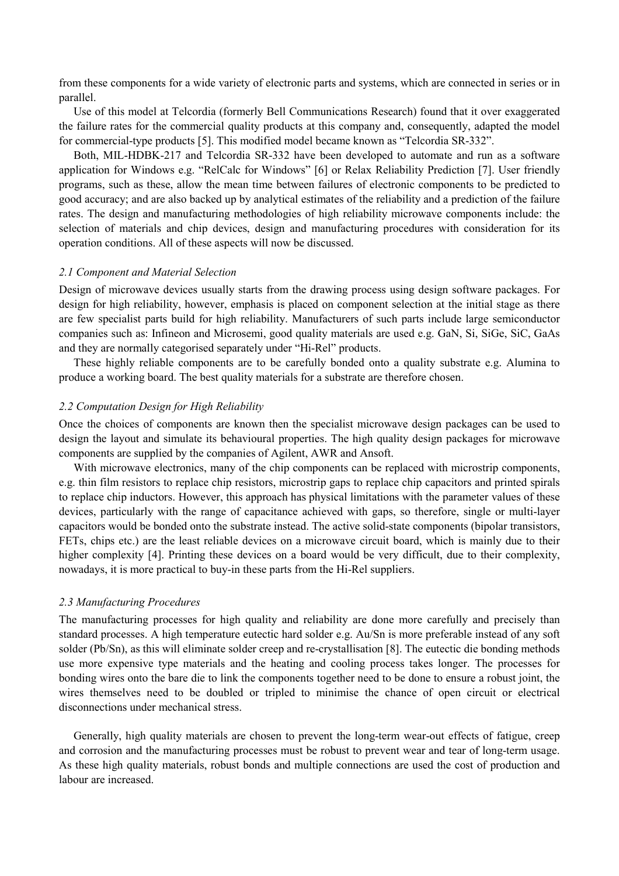from these components for a wide variety of electronic parts and systems, which are connected in series or in parallel.

Use of this model at Telcordia (formerly Bell Communications Research) found that it over exaggerated the failure rates for the commercial quality products at this company and, consequently, adapted the model for commercial-type products [5]. This modified model became known as "Telcordia SR-332".

Both, MIL-HDBK-217 and Telcordia SR-332 have been developed to automate and run as a software application for Windows e.g. "RelCalc for Windows" [6] or Relax Reliability Prediction [7]. User friendly programs, such as these, allow the mean time between failures of electronic components to be predicted to good accuracy; and are also backed up by analytical estimates of the reliability and a prediction of the failure rates. The design and manufacturing methodologies of high reliability microwave components include: the selection of materials and chip devices, design and manufacturing procedures with consideration for its operation conditions. All of these aspects will now be discussed.

#### *2.1 Component and Material Selection*

Design of microwave devices usually starts from the drawing process using design software packages. For design for high reliability, however, emphasis is placed on component selection at the initial stage as there are few specialist parts build for high reliability. Manufacturers of such parts include large semiconductor companies such as: Infineon and Microsemi, good quality materials are used e.g. GaN, Si, SiGe, SiC, GaAs and they are normally categorised separately under "Hi-Rel" products.

These highly reliable components are to be carefully bonded onto a quality substrate e.g. Alumina to produce a working board. The best quality materials for a substrate are therefore chosen.

#### *2.2 Computation Design for High Reliability*

Once the choices of components are known then the specialist microwave design packages can be used to design the layout and simulate its behavioural properties. The high quality design packages for microwave components are supplied by the companies of Agilent, AWR and Ansoft.

With microwave electronics, many of the chip components can be replaced with microstrip components, e.g. thin film resistors to replace chip resistors, microstrip gaps to replace chip capacitors and printed spirals to replace chip inductors. However, this approach has physical limitations with the parameter values of these devices, particularly with the range of capacitance achieved with gaps, so therefore, single or multi-layer capacitors would be bonded onto the substrate instead. The active solid-state components (bipolar transistors, FETs, chips etc.) are the least reliable devices on a microwave circuit board, which is mainly due to their higher complexity [4]. Printing these devices on a board would be very difficult, due to their complexity, nowadays, it is more practical to buy-in these parts from the Hi-Rel suppliers.

#### *2.3 Manufacturing Procedures*

The manufacturing processes for high quality and reliability are done more carefully and precisely than standard processes. A high temperature eutectic hard solder e.g. Au/Sn is more preferable instead of any soft solder (Pb/Sn), as this will eliminate solder creep and re-crystallisation [8]. The eutectic die bonding methods use more expensive type materials and the heating and cooling process takes longer. The processes for bonding wires onto the bare die to link the components together need to be done to ensure a robust joint, the wires themselves need to be doubled or tripled to minimise the chance of open circuit or electrical disconnections under mechanical stress.

Generally, high quality materials are chosen to prevent the long-term wear-out effects of fatigue, creep and corrosion and the manufacturing processes must be robust to prevent wear and tear of long-term usage. As these high quality materials, robust bonds and multiple connections are used the cost of production and labour are increased.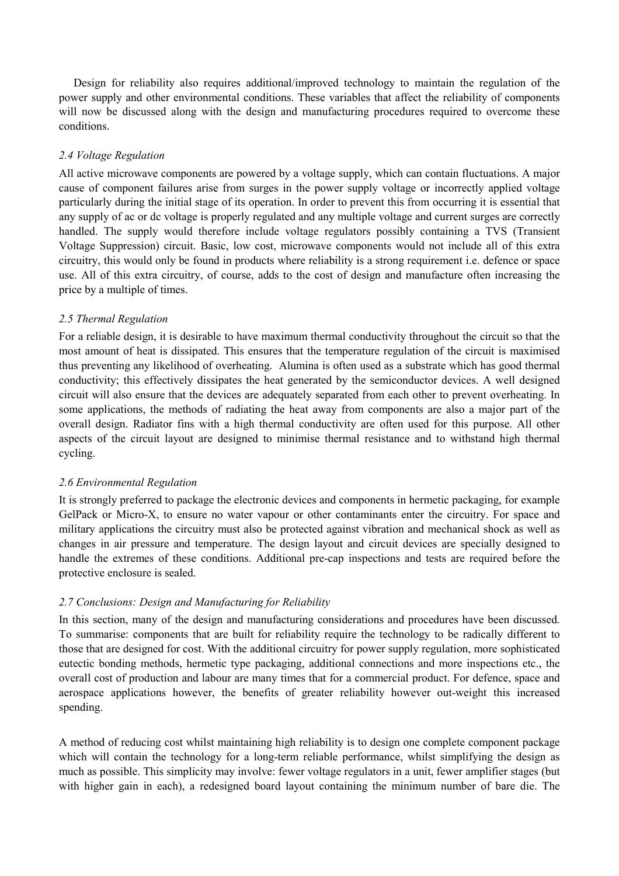Design for reliability also requires additional/improved technology to maintain the regulation of the power supply and other environmental conditions. These variables that affect the reliability of components will now be discussed along with the design and manufacturing procedures required to overcome these conditions.

### *2.4 Voltage Regulation*

All active microwave components are powered by a voltage supply, which can contain fluctuations. A major cause of component failures arise from surges in the power supply voltage or incorrectly applied voltage particularly during the initial stage of its operation. In order to prevent this from occurring it is essential that any supply of ac or dc voltage is properly regulated and any multiple voltage and current surges are correctly handled. The supply would therefore include voltage regulators possibly containing a TVS (Transient Voltage Suppression) circuit. Basic, low cost, microwave components would not include all of this extra circuitry, this would only be found in products where reliability is a strong requirement i.e. defence or space use. All of this extra circuitry, of course, adds to the cost of design and manufacture often increasing the price by a multiple of times.

### *2.5 Thermal Regulation*

For a reliable design, it is desirable to have maximum thermal conductivity throughout the circuit so that the most amount of heat is dissipated. This ensures that the temperature regulation of the circuit is maximised thus preventing any likelihood of overheating. Alumina is often used as a substrate which has good thermal conductivity; this effectively dissipates the heat generated by the semiconductor devices. A well designed circuit will also ensure that the devices are adequately separated from each other to prevent overheating. In some applications, the methods of radiating the heat away from components are also a major part of the overall design. Radiator fins with a high thermal conductivity are often used for this purpose. All other aspects of the circuit layout are designed to minimise thermal resistance and to withstand high thermal cycling.

#### *2.6 Environmental Regulation*

It is strongly preferred to package the electronic devices and components in hermetic packaging, for example GelPack or Micro-X, to ensure no water vapour or other contaminants enter the circuitry. For space and military applications the circuitry must also be protected against vibration and mechanical shock as well as changes in air pressure and temperature. The design layout and circuit devices are specially designed to handle the extremes of these conditions. Additional pre-cap inspections and tests are required before the protective enclosure is sealed.

# *2.7 Conclusions: Design and Manufacturing for Reliability*

In this section, many of the design and manufacturing considerations and procedures have been discussed. To summarise: components that are built for reliability require the technology to be radically different to those that are designed for cost. With the additional circuitry for power supply regulation, more sophisticated eutectic bonding methods, hermetic type packaging, additional connections and more inspections etc., the overall cost of production and labour are many times that for a commercial product. For defence, space and aerospace applications however, the benefits of greater reliability however out-weight this increased spending.

A method of reducing cost whilst maintaining high reliability is to design one complete component package which will contain the technology for a long-term reliable performance, whilst simplifying the design as much as possible. This simplicity may involve: fewer voltage regulators in a unit, fewer amplifier stages (but with higher gain in each), a redesigned board layout containing the minimum number of bare die. The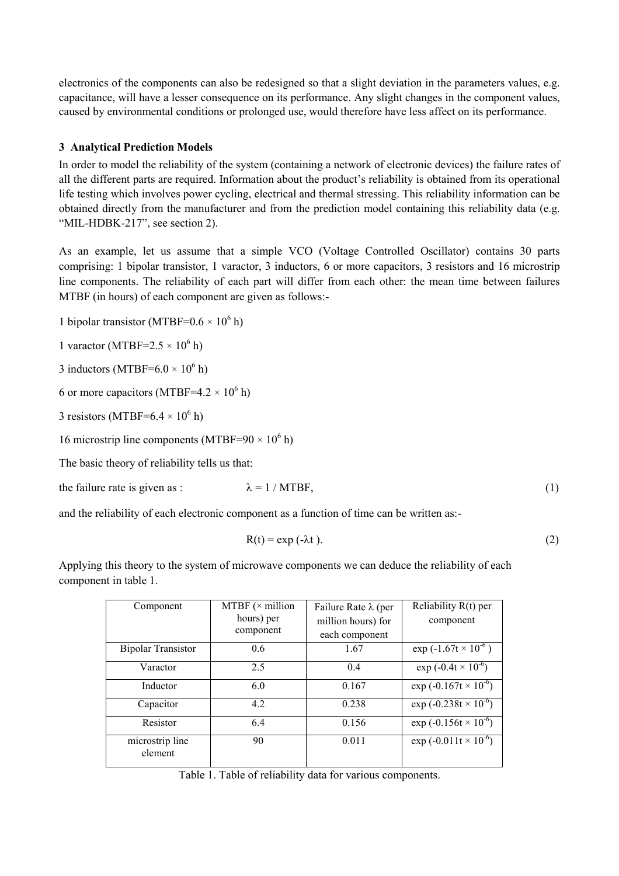electronics of the components can also be redesigned so that a slight deviation in the parameters values, e.g. capacitance, will have a lesser consequence on its performance. Any slight changes in the component values, caused by environmental conditions or prolonged use, would therefore have less affect on its performance.

# **3 Analytical Prediction Models**

In order to model the reliability of the system (containing a network of electronic devices) the failure rates of all the different parts are required. Information about the product's reliability is obtained from its operational life testing which involves power cycling, electrical and thermal stressing. This reliability information can be obtained directly from the manufacturer and from the prediction model containing this reliability data (e.g. "MIL-HDBK-217", see section 2).

As an example, let us assume that a simple VCO (Voltage Controlled Oscillator) contains 30 parts comprising: 1 bipolar transistor, 1 varactor, 3 inductors, 6 or more capacitors, 3 resistors and 16 microstrip line components. The reliability of each part will differ from each other: the mean time between failures MTBF (in hours) of each component are given as follows:-

1 bipolar transistor (MTBF= $0.6 \times 10^6$  h)

1 varactor (MTBF= $2.5 \times 10^6$  h)

3 inductors (MTBF= $6.0 \times 10^6$  h)

6 or more capacitors (MTBF=4.2  $\times$  10<sup>6</sup> h)

3 resistors (MTBF= $6.4 \times 10^6$  h)

16 microstrip line components (MTBF= $90 \times 10^6$  h)

The basic theory of reliability tells us that:

the failure rate is given as :  $\lambda = 1 / MTBF$ , (1)

and the reliability of each electronic component as a function of time can be written as:-

$$
R(t) = \exp(-\lambda t). \tag{2}
$$

Applying this theory to the system of microwave components we can deduce the reliability of each component in table 1.

| Component                  | MTBF $(\times$ million<br>hours) per<br>component | Failure Rate $\lambda$ (per<br>million hours) for<br>each component | Reliability R(t) per<br>component |
|----------------------------|---------------------------------------------------|---------------------------------------------------------------------|-----------------------------------|
| <b>Bipolar Transistor</b>  | 0.6                                               | 1.67                                                                | $\exp(-1.67t \times 10^{-6})$     |
| Varactor                   | 2.5                                               | 0.4                                                                 | $\exp(-0.4t \times 10^{-6})$      |
| Inductor                   | 6.0                                               | 0.167                                                               | $\exp(-0.167t \times 10^{-6})$    |
| Capacitor                  | 4.2                                               | 0.238                                                               | $\exp(-0.238t \times 10^{-6})$    |
| Resistor                   | 6.4                                               | 0.156                                                               | $\exp(-0.156t \times 10^{-6})$    |
| microstrip line<br>element | 90                                                | 0.011                                                               | exp $(-0.011t \times 10^{-6})$    |

Table 1. Table of reliability data for various components.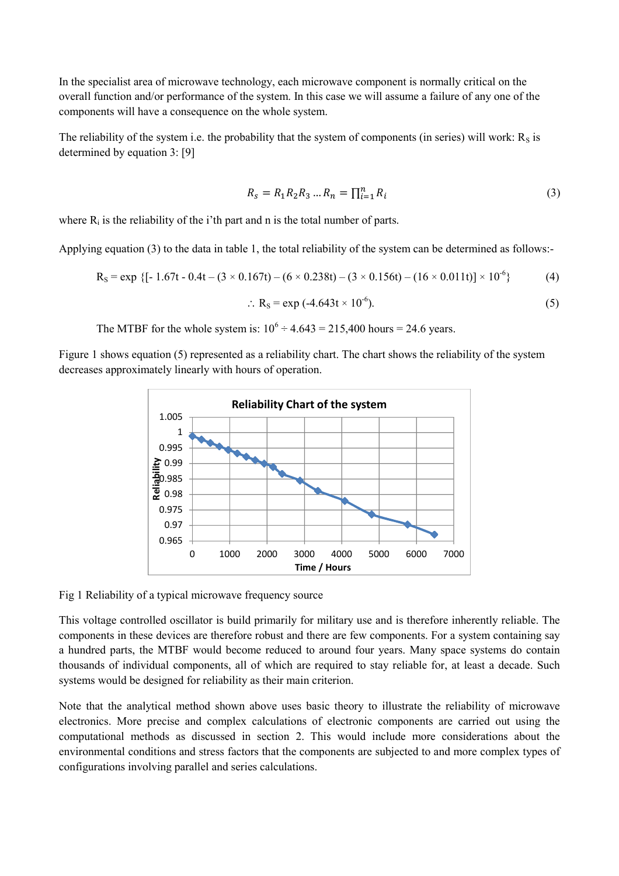In the specialist area of microwave technology, each microwave component is normally critical on the overall function and/or performance of the system. In this case we will assume a failure of any one of the components will have a consequence on the whole system.

The reliability of the system i.e. the probability that the system of components (in series) will work:  $R<sub>S</sub>$  is determined by equation 3: [9]

$$
R_s = R_1 R_2 R_3 ... R_n = \prod_{i=1}^n R_i
$$
\n(3)

where  $R_i$  is the reliability of the i'th part and n is the total number of parts.

Applying equation (3) to the data in table 1, the total reliability of the system can be determined as follows:-

$$
R_S = exp \{[-1.67t - 0.4t - (3 \times 0.167t) - (6 \times 0.238t) - (3 \times 0.156t) - (16 \times 0.011t)] \times 10^{-6}\}
$$
(4)  
:. 
$$
R_S = exp (-4.643t \times 10^{-6}).
$$
(5)

The MTBF for the whole system is:  $10^6 \div 4.643 = 215,400$  hours = 24.6 years.

Figure 1 shows equation (5) represented as a reliability chart. The chart shows the reliability of the system decreases approximately linearly with hours of operation.



Fig 1 Reliability of a typical microwave frequency source

This voltage controlled oscillator is build primarily for military use and is therefore inherently reliable. The components in these devices are therefore robust and there are few components. For a system containing say a hundred parts, the MTBF would become reduced to around four years. Many space systems do contain thousands of individual components, all of which are required to stay reliable for, at least a decade. Such systems would be designed for reliability as their main criterion.

Note that the analytical method shown above uses basic theory to illustrate the reliability of microwave electronics. More precise and complex calculations of electronic components are carried out using the computational methods as discussed in section 2. This would include more considerations about the environmental conditions and stress factors that the components are subjected to and more complex types of configurations involving parallel and series calculations.